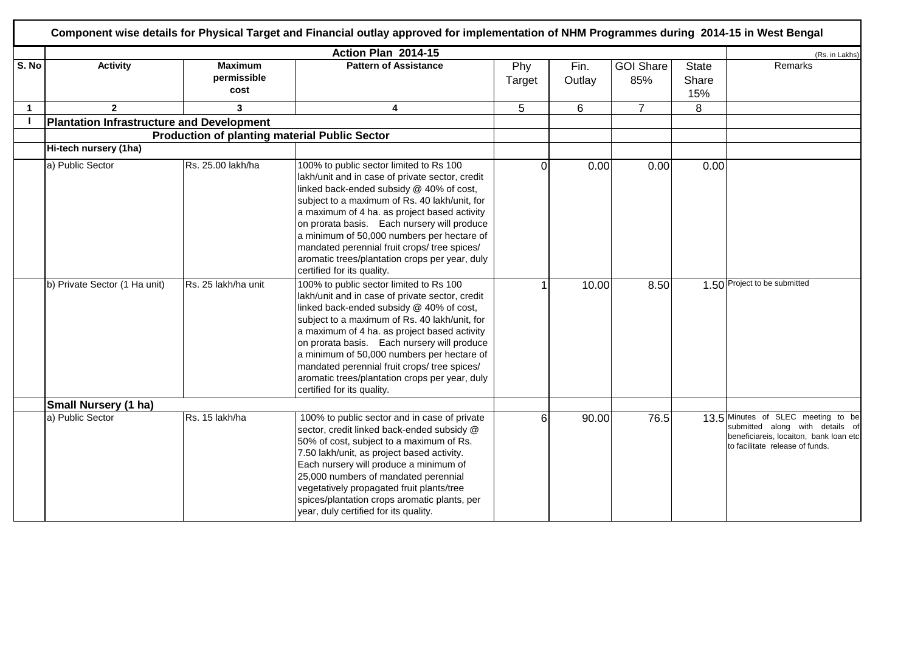|             |                                                  |                                                      | Action Plan 2014-15                                                                                                                                                                                                                                                                                                                                                                                                                                                  |               |                |                         |                              | (Rs. in Lakhs)                                                                                                                                     |
|-------------|--------------------------------------------------|------------------------------------------------------|----------------------------------------------------------------------------------------------------------------------------------------------------------------------------------------------------------------------------------------------------------------------------------------------------------------------------------------------------------------------------------------------------------------------------------------------------------------------|---------------|----------------|-------------------------|------------------------------|----------------------------------------------------------------------------------------------------------------------------------------------------|
| S. No       | <b>Activity</b>                                  | <b>Maximum</b><br>permissible<br>cost                | <b>Pattern of Assistance</b>                                                                                                                                                                                                                                                                                                                                                                                                                                         | Phy<br>Target | Fin.<br>Outlay | <b>GOI Share</b><br>85% | <b>State</b><br>Share<br>15% | Remarks                                                                                                                                            |
| $\mathbf 1$ | $\overline{2}$                                   | 3                                                    | 4                                                                                                                                                                                                                                                                                                                                                                                                                                                                    | 5             | 6              | $\overline{7}$          | 8                            |                                                                                                                                                    |
|             | <b>Plantation Infrastructure and Development</b> |                                                      |                                                                                                                                                                                                                                                                                                                                                                                                                                                                      |               |                |                         |                              |                                                                                                                                                    |
|             |                                                  | <b>Production of planting material Public Sector</b> |                                                                                                                                                                                                                                                                                                                                                                                                                                                                      |               |                |                         |                              |                                                                                                                                                    |
|             | Hi-tech nursery (1ha)                            |                                                      |                                                                                                                                                                                                                                                                                                                                                                                                                                                                      |               |                |                         |                              |                                                                                                                                                    |
|             | a) Public Sector                                 | Rs. 25.00 lakh/ha                                    | 100% to public sector limited to Rs 100<br>lakh/unit and in case of private sector, credit<br>linked back-ended subsidy @ 40% of cost,<br>subject to a maximum of Rs. 40 lakh/unit, for<br>a maximum of 4 ha. as project based activity<br>on prorata basis. Each nursery will produce<br>a minimum of 50,000 numbers per hectare of<br>mandated perennial fruit crops/ tree spices/<br>aromatic trees/plantation crops per year, duly<br>certified for its quality. | $\Omega$      | 0.00           | 0.00                    | 0.00                         |                                                                                                                                                    |
|             | b) Private Sector (1 Ha unit)                    | Rs. 25 lakh/ha unit                                  | 100% to public sector limited to Rs 100<br>lakh/unit and in case of private sector, credit<br>linked back-ended subsidy @ 40% of cost,<br>subject to a maximum of Rs. 40 lakh/unit, for<br>a maximum of 4 ha. as project based activity<br>on prorata basis. Each nursery will produce<br>a minimum of 50,000 numbers per hectare of<br>mandated perennial fruit crops/ tree spices/<br>aromatic trees/plantation crops per year, duly<br>certified for its quality. |               | 10.00          | 8.50                    |                              | 1.50 Project to be submitted                                                                                                                       |
|             | <b>Small Nursery (1 ha)</b>                      |                                                      |                                                                                                                                                                                                                                                                                                                                                                                                                                                                      |               |                |                         |                              |                                                                                                                                                    |
|             | a) Public Sector                                 | Rs. 15 lakh/ha                                       | 100% to public sector and in case of private<br>sector, credit linked back-ended subsidy @<br>50% of cost, subject to a maximum of Rs.<br>7.50 lakh/unit, as project based activity.<br>Each nursery will produce a minimum of<br>25,000 numbers of mandated perennial<br>vegetatively propagated fruit plants/tree<br>spices/plantation crops aromatic plants, per<br>year, duly certified for its quality.                                                         | 6             | 90.00          | 76.5                    |                              | 13.5 Minutes of SLEC meeting to be<br>submitted along with details of<br>beneficiareis, locaiton, bank loan etc<br>to facilitate release of funds. |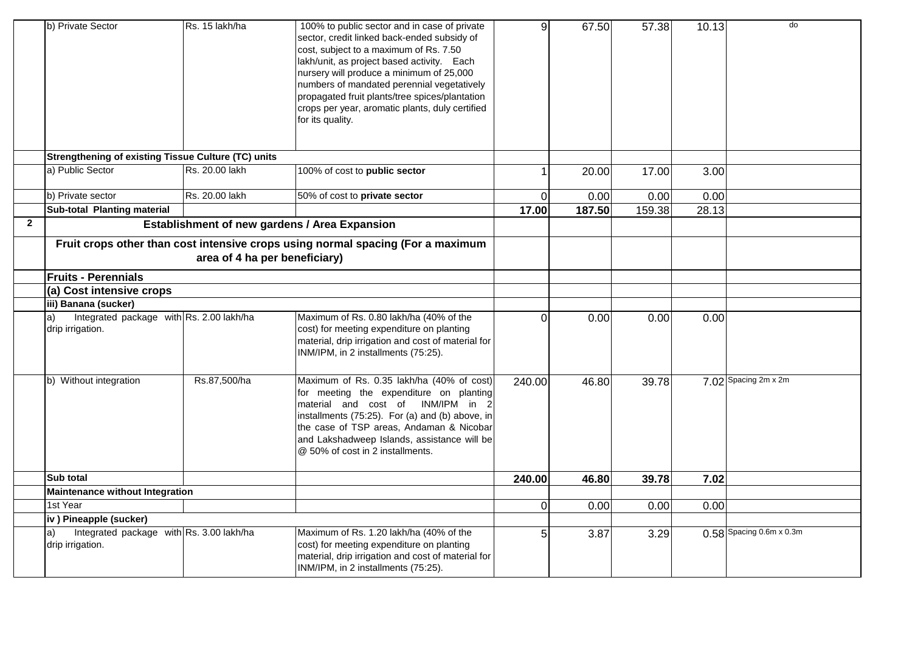|              | b) Private Sector                                                               | Rs. 15 lakh/ha | 100% to public sector and in case of private<br>sector, credit linked back-ended subsidy of<br>cost, subject to a maximum of Rs. 7.50<br>lakh/unit, as project based activity. Each<br>nursery will produce a minimum of 25,000<br>numbers of mandated perennial vegetatively<br>propagated fruit plants/tree spices/plantation<br>crops per year, aromatic plants, duly certified<br>for its quality. | 9l             | 67.50  | 57.38  | 10.13 | do                       |
|--------------|---------------------------------------------------------------------------------|----------------|--------------------------------------------------------------------------------------------------------------------------------------------------------------------------------------------------------------------------------------------------------------------------------------------------------------------------------------------------------------------------------------------------------|----------------|--------|--------|-------|--------------------------|
|              | Strengthening of existing Tissue Culture (TC) units                             |                |                                                                                                                                                                                                                                                                                                                                                                                                        |                |        |        |       |                          |
|              | a) Public Sector                                                                | Rs. 20.00 lakh | 100% of cost to public sector                                                                                                                                                                                                                                                                                                                                                                          |                | 20.00  | 17.00  | 3.00  |                          |
|              | b) Private sector                                                               | Rs. 20.00 lakh | 50% of cost to private sector                                                                                                                                                                                                                                                                                                                                                                          | $\overline{0}$ | 0.00   | 0.00   | 0.00  |                          |
|              | <b>Sub-total Planting material</b>                                              |                |                                                                                                                                                                                                                                                                                                                                                                                                        | 17.00          | 187.50 | 159.38 | 28.13 |                          |
| $\mathbf{2}$ | Establishment of new gardens / Area Expansion                                   |                |                                                                                                                                                                                                                                                                                                                                                                                                        |                |        |        |       |                          |
|              | Fruit crops other than cost intensive crops using normal spacing (For a maximum |                |                                                                                                                                                                                                                                                                                                                                                                                                        |                |        |        |       |                          |
|              | <b>Fruits - Perennials</b>                                                      |                |                                                                                                                                                                                                                                                                                                                                                                                                        |                |        |        |       |                          |
|              | (a) Cost intensive crops                                                        |                |                                                                                                                                                                                                                                                                                                                                                                                                        |                |        |        |       |                          |
|              | iii) Banana (sucker)                                                            |                |                                                                                                                                                                                                                                                                                                                                                                                                        |                |        |        |       |                          |
|              | Integrated package with Rs. 2.00 lakh/ha<br>a)<br>drip irrigation.              |                | Maximum of Rs. 0.80 lakh/ha (40% of the<br>cost) for meeting expenditure on planting<br>material, drip irrigation and cost of material for<br>INM/IPM, in 2 installments (75:25).                                                                                                                                                                                                                      | 0              | 0.00   | 0.00   | 0.00  |                          |
|              | b) Without integration                                                          | Rs.87,500/ha   | Maximum of Rs. 0.35 lakh/ha (40% of cost)<br>for meeting the expenditure on planting<br>material and cost of INM/IPM in 2<br>installments (75:25). For (a) and (b) above, in<br>the case of TSP areas, Andaman & Nicobar<br>and Lakshadweep Islands, assistance will be<br>@ 50% of cost in 2 installments.                                                                                            | 240.00         | 46.80  | 39.78  |       | 7.02 Spacing 2m x 2m     |
|              | Sub total                                                                       |                |                                                                                                                                                                                                                                                                                                                                                                                                        | 240.00         | 46.80  | 39.78  | 7.02  |                          |
|              | Maintenance without Integration                                                 |                |                                                                                                                                                                                                                                                                                                                                                                                                        |                |        |        |       |                          |
|              | 1st Year                                                                        |                |                                                                                                                                                                                                                                                                                                                                                                                                        | ΩI             | 0.00   | 0.00   | 0.00  |                          |
|              | iv) Pineapple (sucker)                                                          |                |                                                                                                                                                                                                                                                                                                                                                                                                        |                |        |        |       |                          |
|              | Integrated package with Rs. 3.00 lakh/ha<br>a)<br>drip irrigation.              |                | Maximum of Rs. 1.20 lakh/ha (40% of the<br>cost) for meeting expenditure on planting<br>material, drip irrigation and cost of material for<br>INM/IPM, in 2 installments (75:25).                                                                                                                                                                                                                      | 5              | 3.87   | 3.29   |       | 0.58 Spacing 0.6m x 0.3m |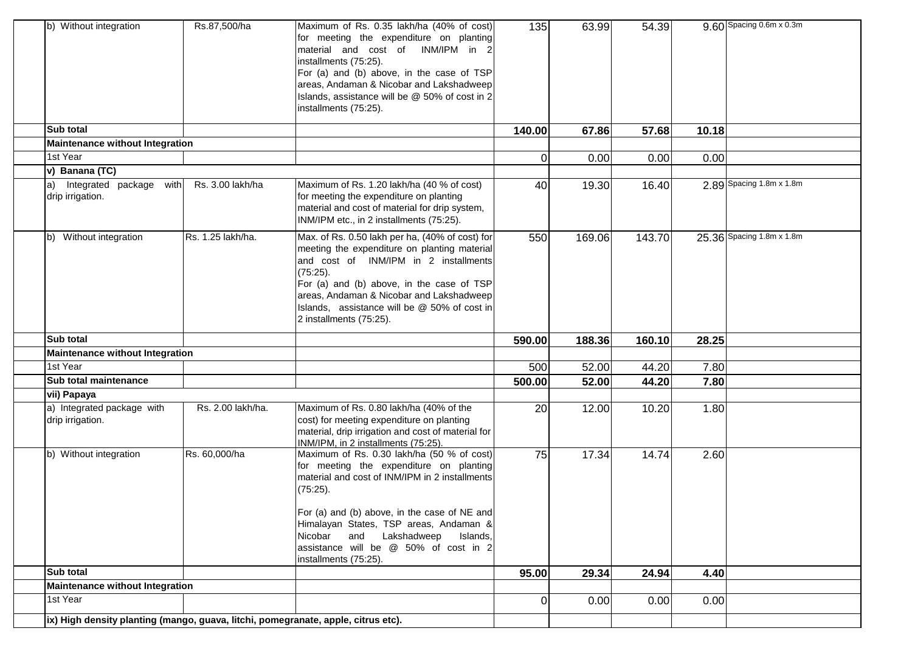| b) Without integration                                                            | Rs.87,500/ha      | Maximum of Rs. 0.35 lakh/ha (40% of cost)<br>for meeting the expenditure on planting<br>material and cost of INM/IPM in 2<br>installments (75:25).<br>For (a) and (b) above, in the case of TSP<br>areas, Andaman & Nicobar and Lakshadweep<br>Islands, assistance will be @ 50% of cost in 2<br>installments (75:25).           | 135      | 63.99  | 54.39  |       | 9.60 Spacing 0.6m x 0.3m  |
|-----------------------------------------------------------------------------------|-------------------|----------------------------------------------------------------------------------------------------------------------------------------------------------------------------------------------------------------------------------------------------------------------------------------------------------------------------------|----------|--------|--------|-------|---------------------------|
| Sub total                                                                         |                   |                                                                                                                                                                                                                                                                                                                                  | 140.00   | 67.86  | 57.68  | 10.18 |                           |
| Maintenance without Integration                                                   |                   |                                                                                                                                                                                                                                                                                                                                  |          |        |        |       |                           |
| 1st Year                                                                          |                   |                                                                                                                                                                                                                                                                                                                                  | 0        | 0.00   | 0.00   | 0.00  |                           |
| v) Banana (TC)                                                                    |                   |                                                                                                                                                                                                                                                                                                                                  |          |        |        |       |                           |
| Integrated package with<br>la)<br>drip irrigation.                                | Rs. 3.00 lakh/ha  | Maximum of Rs. 1.20 lakh/ha (40 % of cost)<br>for meeting the expenditure on planting<br>material and cost of material for drip system,<br>INM/IPM etc., in 2 installments (75:25).                                                                                                                                              | 40       | 19.30  | 16.40  |       | 2.89 Spacing 1.8m x 1.8m  |
| b) Without integration                                                            | Rs. 1.25 lakh/ha. | Max. of Rs. 0.50 lakh per ha, (40% of cost) for<br>meeting the expenditure on planting material<br>and cost of INM/IPM in 2 installments<br>(75:25).<br>For (a) and (b) above, in the case of TSP<br>areas, Andaman & Nicobar and Lakshadweep<br>Islands, assistance will be @ 50% of cost in<br>2 installments (75:25).         | 550      | 169.06 | 143.70 |       | 25.36 Spacing 1.8m x 1.8m |
| <b>Sub total</b>                                                                  |                   |                                                                                                                                                                                                                                                                                                                                  | 590.00   | 188.36 | 160.10 | 28.25 |                           |
| Maintenance without Integration                                                   |                   |                                                                                                                                                                                                                                                                                                                                  |          |        |        |       |                           |
| 1st Year                                                                          |                   |                                                                                                                                                                                                                                                                                                                                  | 500      | 52.00  | 44.20  | 7.80  |                           |
| <b>Sub total maintenance</b>                                                      |                   |                                                                                                                                                                                                                                                                                                                                  | 500.00   | 52.00  | 44.20  | 7.80  |                           |
| vii) Papaya                                                                       |                   |                                                                                                                                                                                                                                                                                                                                  |          |        |        |       |                           |
| a) Integrated package with<br>drip irrigation.                                    | Rs. 2.00 lakh/ha. | Maximum of Rs. 0.80 lakh/ha (40% of the<br>cost) for meeting expenditure on planting<br>material, drip irrigation and cost of material for<br>INM/IPM, in 2 installments (75:25).                                                                                                                                                | 20       | 12.00  | 10.20  | 1.80  |                           |
| b) Without integration                                                            | Rs. 60,000/ha     | Maximum of Rs. 0.30 lakh/ha (50 % of cost)<br>for meeting the expenditure on planting<br>material and cost of INM/IPM in 2 installments<br>(75:25).<br>For (a) and (b) above, in the case of NE and<br>Himalayan States, TSP areas, Andaman &<br>Lakshadweep<br>Nicobar and<br>Islands,<br>assistance will be @ 50% of cost in 2 | 75       | 17.34  | 14.74  | 2.60  |                           |
|                                                                                   |                   | installments (75:25).                                                                                                                                                                                                                                                                                                            |          |        |        |       |                           |
| Sub total                                                                         |                   |                                                                                                                                                                                                                                                                                                                                  | 95.00    | 29.34  | 24.94  | 4.40  |                           |
| Maintenance without Integration                                                   |                   |                                                                                                                                                                                                                                                                                                                                  |          |        |        |       |                           |
| 1st Year                                                                          |                   |                                                                                                                                                                                                                                                                                                                                  | $\Omega$ | 0.00   | 0.00   | 0.00  |                           |
| ix) High density planting (mango, guava, litchi, pomegranate, apple, citrus etc). |                   |                                                                                                                                                                                                                                                                                                                                  |          |        |        |       |                           |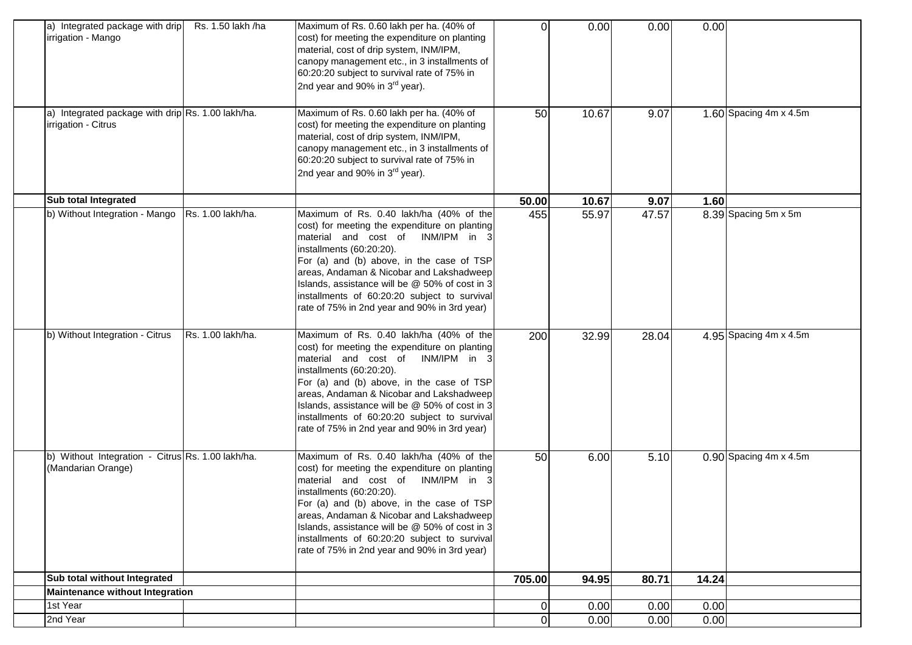| a) Integrated package with drip<br>irrigation - Mango                    | Rs. 1.50 lakh /ha | Maximum of Rs. 0.60 lakh per ha. (40% of<br>cost) for meeting the expenditure on planting<br>material, cost of drip system, INM/IPM,<br>canopy management etc., in 3 installments of<br>60:20:20 subject to survival rate of 75% in<br>2nd year and 90% in 3 <sup>rd</sup> year).                                                                                                                       | 0           | 0.00  | 0.00  | 0.00  |                               |
|--------------------------------------------------------------------------|-------------------|---------------------------------------------------------------------------------------------------------------------------------------------------------------------------------------------------------------------------------------------------------------------------------------------------------------------------------------------------------------------------------------------------------|-------------|-------|-------|-------|-------------------------------|
| a) Integrated package with drip Rs. 1.00 lakh/ha.<br>irrigation - Citrus |                   | Maximum of Rs. 0.60 lakh per ha. (40% of<br>cost) for meeting the expenditure on planting<br>material, cost of drip system, INM/IPM,<br>canopy management etc., in 3 installments of<br>60:20:20 subject to survival rate of 75% in<br>2nd year and 90% in 3 <sup>rd</sup> year).                                                                                                                       | 50          | 10.67 | 9.07  |       | 1.60 Spacing $4m \times 4.5m$ |
| Sub total Integrated                                                     |                   |                                                                                                                                                                                                                                                                                                                                                                                                         | 50.00       | 10.67 | 9.07  | 1.60  |                               |
| b) Without Integration - Mango                                           | Rs. 1.00 lakh/ha. | Maximum of Rs. 0.40 lakh/ha (40% of the<br>cost) for meeting the expenditure on planting<br>material and cost of INM/IPM in 3<br>installments (60:20:20).<br>For (a) and (b) above, in the case of TSP<br>areas, Andaman & Nicobar and Lakshadweep<br>Islands, assistance will be @ 50% of cost in 3<br>installments of 60:20:20 subject to survival<br>rate of 75% in 2nd year and 90% in 3rd year)    | 455         | 55.97 | 47.57 |       | 8.39 Spacing 5m x 5m          |
| b) Without Integration - Citrus                                          | Rs. 1.00 lakh/ha. | Maximum of Rs. 0.40 lakh/ha (40% of the<br>cost) for meeting the expenditure on planting<br>material and cost of<br>INM/IPM in 3<br>installments (60:20:20).<br>For (a) and (b) above, in the case of TSP<br>areas, Andaman & Nicobar and Lakshadweep<br>Islands, assistance will be @ 50% of cost in 3<br>installments of 60:20:20 subject to survival<br>rate of 75% in 2nd year and 90% in 3rd year) | 200         | 32.99 | 28.04 |       | 4.95 Spacing $4m \times 4.5m$ |
| b) Without Integration - Citrus Rs. 1.00 lakh/ha.<br>(Mandarian Orange)  |                   | Maximum of Rs. 0.40 lakh/ha (40% of the<br>cost) for meeting the expenditure on planting<br>INM/IPM in 3<br>material and cost of<br>installments (60:20:20).<br>For (a) and (b) above, in the case of TSP<br>areas, Andaman & Nicobar and Lakshadweep<br>Islands, assistance will be @ 50% of cost in 3<br>installments of 60:20:20 subject to survival<br>rate of 75% in 2nd year and 90% in 3rd year) | 50          | 6.00  | 5.10  |       | $0.90$ Spacing 4m x 4.5m      |
| Sub total without Integrated                                             |                   |                                                                                                                                                                                                                                                                                                                                                                                                         | 705.00      | 94.95 | 80.71 | 14.24 |                               |
| <b>Maintenance without Integration</b>                                   |                   |                                                                                                                                                                                                                                                                                                                                                                                                         |             |       |       |       |                               |
| 1st Year                                                                 |                   |                                                                                                                                                                                                                                                                                                                                                                                                         | $\pmb{0}$   | 0.00  | 0.00  | 0.00  |                               |
| 2nd Year                                                                 |                   |                                                                                                                                                                                                                                                                                                                                                                                                         | $\mathbf 0$ | 0.00  | 0.00  | 0.00  |                               |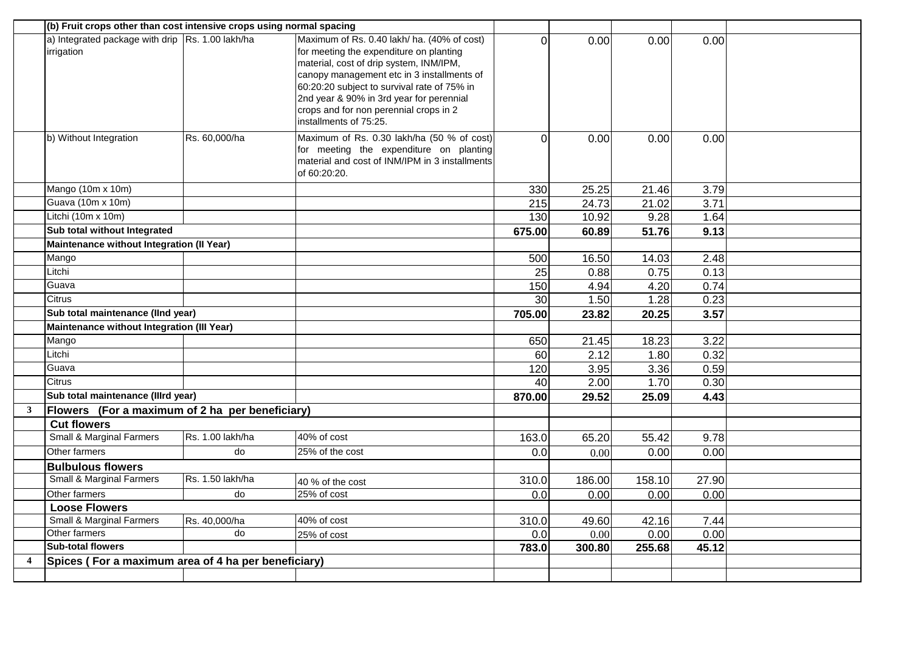|                |                                                                | (b) Fruit crops other than cost intensive crops using normal spacing |                                                                                                                                                                                                                                                                                                                                                |                 |        |        |       |  |
|----------------|----------------------------------------------------------------|----------------------------------------------------------------------|------------------------------------------------------------------------------------------------------------------------------------------------------------------------------------------------------------------------------------------------------------------------------------------------------------------------------------------------|-----------------|--------|--------|-------|--|
|                | a) Integrated package with drip Rs. 1.00 lakh/ha<br>irrigation |                                                                      | Maximum of Rs. 0.40 lakh/ ha. (40% of cost)<br>for meeting the expenditure on planting<br>material, cost of drip system, INM/IPM,<br>canopy management etc in 3 installments of<br>60:20:20 subject to survival rate of 75% in<br>2nd year & 90% in 3rd year for perennial<br>crops and for non perennial crops in 2<br>installments of 75:25. | $\Omega$        | 0.00   | 0.00   | 0.00  |  |
|                | b) Without Integration                                         | Rs. 60,000/ha                                                        | Maximum of Rs. 0.30 lakh/ha (50 % of cost)<br>for meeting the expenditure on planting<br>material and cost of INM/IPM in 3 installments<br>of 60:20:20.                                                                                                                                                                                        | $\Omega$        | 0.00   | 0.00   | 0.00  |  |
|                | Mango (10m x 10m)                                              |                                                                      |                                                                                                                                                                                                                                                                                                                                                | 330             | 25.25  | 21.46  | 3.79  |  |
|                | Guava (10m x 10m)                                              |                                                                      |                                                                                                                                                                                                                                                                                                                                                | 215             | 24.73  | 21.02  | 3.71  |  |
|                | Litchi (10m x 10m)                                             |                                                                      |                                                                                                                                                                                                                                                                                                                                                | 130             | 10.92  | 9.28   | 1.64  |  |
|                | Sub total without Integrated                                   |                                                                      |                                                                                                                                                                                                                                                                                                                                                | 675.00          | 60.89  | 51.76  | 9.13  |  |
|                | Maintenance without Integration (Il Year)                      |                                                                      |                                                                                                                                                                                                                                                                                                                                                |                 |        |        |       |  |
|                | Mango                                                          |                                                                      |                                                                                                                                                                                                                                                                                                                                                | 500             | 16.50  | 14.03  | 2.48  |  |
|                | Litchi                                                         |                                                                      |                                                                                                                                                                                                                                                                                                                                                | 25              | 0.88   | 0.75   | 0.13  |  |
|                | Guava                                                          |                                                                      |                                                                                                                                                                                                                                                                                                                                                | 150             | 4.94   | 4.20   | 0.74  |  |
|                | Citrus                                                         |                                                                      |                                                                                                                                                                                                                                                                                                                                                | $\overline{30}$ | 1.50   | 1.28   | 0.23  |  |
|                | Sub total maintenance (IInd year)                              |                                                                      |                                                                                                                                                                                                                                                                                                                                                | 705.00          | 23.82  | 20.25  | 3.57  |  |
|                | <b>Maintenance without Integration (III Year)</b>              |                                                                      |                                                                                                                                                                                                                                                                                                                                                |                 |        |        |       |  |
|                | Mango                                                          |                                                                      |                                                                                                                                                                                                                                                                                                                                                | 650             | 21.45  | 18.23  | 3.22  |  |
|                | Litchi                                                         |                                                                      |                                                                                                                                                                                                                                                                                                                                                | 60              | 2.12   | 1.80   | 0.32  |  |
|                | Guava                                                          |                                                                      |                                                                                                                                                                                                                                                                                                                                                | 120             | 3.95   | 3.36   | 0.59  |  |
|                | Citrus                                                         |                                                                      |                                                                                                                                                                                                                                                                                                                                                | 40              | 2.00   | 1.70   | 0.30  |  |
|                | Sub total maintenance (Illrd year)                             |                                                                      |                                                                                                                                                                                                                                                                                                                                                | 870.00          | 29.52  | 25.09  | 4.43  |  |
| 3              | Flowers (For a maximum of 2 ha per beneficiary)                |                                                                      |                                                                                                                                                                                                                                                                                                                                                |                 |        |        |       |  |
|                | <b>Cut flowers</b>                                             |                                                                      |                                                                                                                                                                                                                                                                                                                                                |                 |        |        |       |  |
|                | <b>Small &amp; Marginal Farmers</b>                            | Rs. 1.00 lakh/ha                                                     | 40% of cost                                                                                                                                                                                                                                                                                                                                    | 163.0           | 65.20  | 55.42  | 9.78  |  |
|                | Other farmers                                                  | do                                                                   | 25% of the cost                                                                                                                                                                                                                                                                                                                                | 0.0             | 0.00   | 0.00   | 0.00  |  |
|                | <b>Bulbulous flowers</b>                                       |                                                                      |                                                                                                                                                                                                                                                                                                                                                |                 |        |        |       |  |
|                | <b>Small &amp; Marginal Farmers</b>                            | Rs. 1.50 lakh/ha                                                     | 40 % of the cost                                                                                                                                                                                                                                                                                                                               | 310.0           | 186.00 | 158.10 | 27.90 |  |
|                | Other farmers                                                  | do                                                                   | $25%$ of cost                                                                                                                                                                                                                                                                                                                                  | 0.0             | 0.00   | 0.00   | 0.00  |  |
|                | <b>Loose Flowers</b>                                           |                                                                      |                                                                                                                                                                                                                                                                                                                                                |                 |        |        |       |  |
|                | <b>Small &amp; Marginal Farmers</b>                            | Rs. 40,000/ha                                                        | 40% of cost                                                                                                                                                                                                                                                                                                                                    | 310.0           | 49.60  | 42.16  | 7.44  |  |
|                | Other farmers                                                  | do                                                                   | 25% of cost                                                                                                                                                                                                                                                                                                                                    | 0.0             | 0.00   | 0.00   | 0.00  |  |
|                | <b>Sub-total flowers</b>                                       |                                                                      |                                                                                                                                                                                                                                                                                                                                                | 783.0           | 300.80 | 255.68 | 45.12 |  |
| $\overline{4}$ | Spices (For a maximum area of 4 ha per beneficiary)            |                                                                      |                                                                                                                                                                                                                                                                                                                                                |                 |        |        |       |  |
|                |                                                                |                                                                      |                                                                                                                                                                                                                                                                                                                                                |                 |        |        |       |  |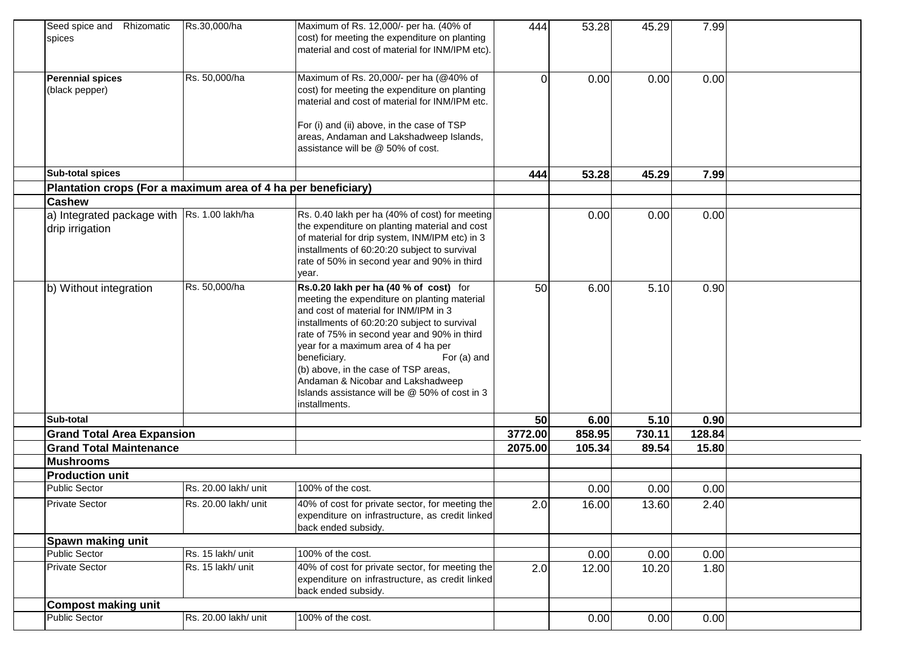| Seed spice and Rhizomatic<br>spices                           | Rs.30,000/ha         | Maximum of Rs. 12,000/- per ha. (40% of<br>cost) for meeting the expenditure on planting<br>material and cost of material for INM/IPM etc).                                                                                                                                                                                                                                                                                                         | 444            | 53.28  | 45.29  | 7.99   |  |
|---------------------------------------------------------------|----------------------|-----------------------------------------------------------------------------------------------------------------------------------------------------------------------------------------------------------------------------------------------------------------------------------------------------------------------------------------------------------------------------------------------------------------------------------------------------|----------------|--------|--------|--------|--|
| <b>Perennial spices</b><br>(black pepper)                     | Rs. 50,000/ha        | Maximum of Rs. 20,000/- per ha (@40% of<br>cost) for meeting the expenditure on planting<br>material and cost of material for INM/IPM etc.<br>For (i) and (ii) above, in the case of TSP<br>areas, Andaman and Lakshadweep Islands,<br>assistance will be @ 50% of cost.                                                                                                                                                                            | $\overline{0}$ | 0.00   | 0.00   | 0.00   |  |
| Sub-total spices                                              |                      |                                                                                                                                                                                                                                                                                                                                                                                                                                                     | 444            | 53.28  | 45.29  | 7.99   |  |
| Plantation crops (For a maximum area of 4 ha per beneficiary) |                      |                                                                                                                                                                                                                                                                                                                                                                                                                                                     |                |        |        |        |  |
| <b>Cashew</b>                                                 |                      |                                                                                                                                                                                                                                                                                                                                                                                                                                                     |                |        |        |        |  |
| a) Integrated package with<br>drip irrigation                 | Rs. 1.00 lakh/ha     | Rs. 0.40 lakh per ha (40% of cost) for meeting<br>the expenditure on planting material and cost<br>of material for drip system, INM/IPM etc) in 3<br>installments of 60:20:20 subject to survival<br>rate of 50% in second year and 90% in third<br>year.                                                                                                                                                                                           |                | 0.00   | 0.00   | 0.00   |  |
| b) Without integration                                        | Rs. 50,000/ha        | Rs.0.20 lakh per ha (40 % of cost) for<br>meeting the expenditure on planting material<br>and cost of material for INM/IPM in 3<br>installments of 60:20:20 subject to survival<br>rate of 75% in second year and 90% in third<br>year for a maximum area of 4 ha per<br>beneficiary.<br>For (a) and<br>(b) above, in the case of TSP areas,<br>Andaman & Nicobar and Lakshadweep<br>Islands assistance will be @ 50% of cost in 3<br>installments. | 50             | 6.00   | 5.10   | 0.90   |  |
| <b>Sub-total</b>                                              |                      |                                                                                                                                                                                                                                                                                                                                                                                                                                                     | 50             | 6.00   | 5.10   | 0.90   |  |
| <b>Grand Total Area Expansion</b>                             |                      |                                                                                                                                                                                                                                                                                                                                                                                                                                                     | 3772.00        | 858.95 | 730.11 | 128.84 |  |
| <b>Grand Total Maintenance</b>                                |                      |                                                                                                                                                                                                                                                                                                                                                                                                                                                     | 2075.00        | 105.34 | 89.54  | 15.80  |  |
| <b>Mushrooms</b>                                              |                      |                                                                                                                                                                                                                                                                                                                                                                                                                                                     |                |        |        |        |  |
| <b>Production unit</b>                                        |                      |                                                                                                                                                                                                                                                                                                                                                                                                                                                     |                |        |        |        |  |
| <b>Public Sector</b>                                          | Rs. 20.00 lakh/ unit | 100% of the cost.                                                                                                                                                                                                                                                                                                                                                                                                                                   |                | 0.00   | 0.00   | 0.00   |  |
| <b>Private Sector</b>                                         | Rs. 20.00 lakh/ unit | 40% of cost for private sector, for meeting the<br>expenditure on infrastructure, as credit linked<br>back ended subsidy.                                                                                                                                                                                                                                                                                                                           | 2.0            | 16.00  | 13.60  | 2.40   |  |
| Spawn making unit                                             |                      |                                                                                                                                                                                                                                                                                                                                                                                                                                                     |                |        |        |        |  |
| Public Sector                                                 | Rs. 15 lakh/ unit    | 100% of the cost.                                                                                                                                                                                                                                                                                                                                                                                                                                   |                | 0.00   | 0.00   | 0.00   |  |
| <b>Private Sector</b>                                         | Rs. 15 lakh/ unit    | 40% of cost for private sector, for meeting the<br>expenditure on infrastructure, as credit linked<br>back ended subsidy.                                                                                                                                                                                                                                                                                                                           | 2.0            | 12.00  | 10.20  | 1.80   |  |
| <b>Compost making unit</b>                                    |                      |                                                                                                                                                                                                                                                                                                                                                                                                                                                     |                |        |        |        |  |
| Public Sector                                                 | Rs. 20.00 lakh/ unit | 100% of the cost.                                                                                                                                                                                                                                                                                                                                                                                                                                   |                | 0.00   | 0.00   | 0.00   |  |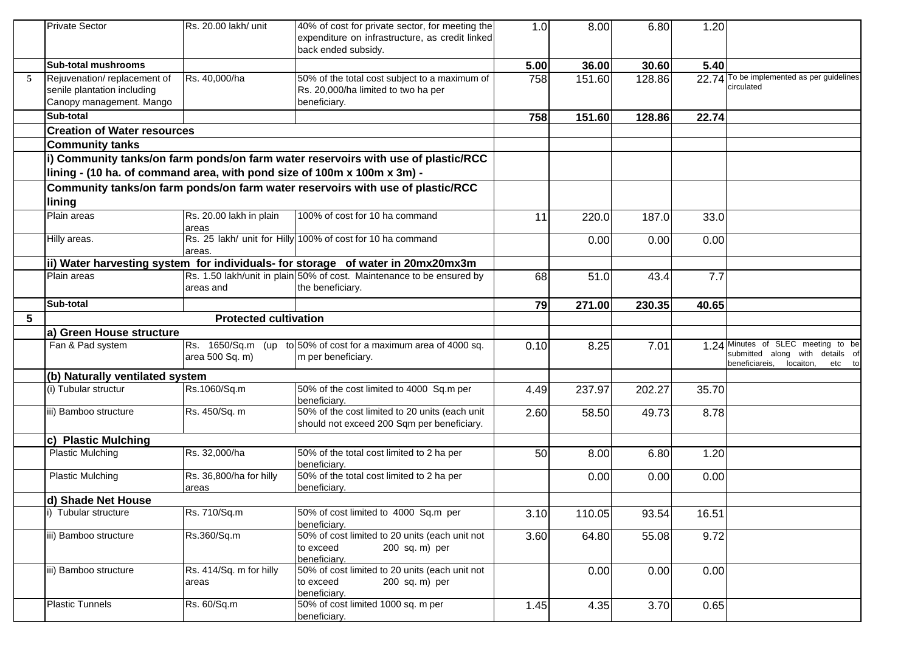|   | <b>Private Sector</b>                                                                  | Rs. 20.00 lakh/ unit             | 40% of cost for private sector, for meeting the<br>expenditure on infrastructure, as credit linked<br>back ended subsidy. | 1.0  | 8.00   | 6.80   | 1.20  |                                                                                                                |
|---|----------------------------------------------------------------------------------------|----------------------------------|---------------------------------------------------------------------------------------------------------------------------|------|--------|--------|-------|----------------------------------------------------------------------------------------------------------------|
|   | <b>Sub-total mushrooms</b>                                                             |                                  |                                                                                                                           | 5.00 | 36.00  | 30.60  | 5.40  |                                                                                                                |
| 5 | Rejuvenation/replacement of<br>senile plantation including<br>Canopy management. Mango | Rs. 40,000/ha                    | 50% of the total cost subject to a maximum of<br>Rs. 20,000/ha limited to two ha per<br>beneficiary.                      | 758  | 151.60 | 128.86 |       | 22.74 To be implemented as per guidelines<br>circulated                                                        |
|   | Sub-total                                                                              |                                  |                                                                                                                           | 758  | 151.60 | 128.86 | 22.74 |                                                                                                                |
|   | <b>Creation of Water resources</b>                                                     |                                  |                                                                                                                           |      |        |        |       |                                                                                                                |
|   | <b>Community tanks</b>                                                                 |                                  |                                                                                                                           |      |        |        |       |                                                                                                                |
|   | lining - (10 ha. of command area, with pond size of 100m x 100m x 3m) -                |                                  | i) Community tanks/on farm ponds/on farm water reservoirs with use of plastic/RCC                                         |      |        |        |       |                                                                                                                |
|   |                                                                                        |                                  | Community tanks/on farm ponds/on farm water reservoirs with use of plastic/RCC                                            |      |        |        |       |                                                                                                                |
|   | lining                                                                                 |                                  |                                                                                                                           |      |        |        |       |                                                                                                                |
|   | Plain areas                                                                            | Rs. 20.00 lakh in plain<br>areas | 100% of cost for 10 ha command                                                                                            | 11   | 220.0  | 187.0  | 33.0  |                                                                                                                |
|   | Hilly areas.                                                                           | areas.                           | Rs. 25 lakh/ unit for Hilly 100% of cost for 10 ha command                                                                |      | 0.00   | 0.00   | 0.00  |                                                                                                                |
|   |                                                                                        |                                  | ii) Water harvesting system for individuals- for storage of water in 20mx20mx3m                                           |      |        |        |       |                                                                                                                |
|   | Plain areas                                                                            | areas and                        | Rs. 1.50 lakh/unit in plain 50% of cost. Maintenance to be ensured by<br>the beneficiary.                                 | 68   | 51.0   | 43.4   | 7.7   |                                                                                                                |
|   | Sub-total                                                                              |                                  |                                                                                                                           | 79   | 271.00 | 230.35 | 40.65 |                                                                                                                |
| 5 |                                                                                        | <b>Protected cultivation</b>     |                                                                                                                           |      |        |        |       |                                                                                                                |
|   | a) Green House structure                                                               |                                  |                                                                                                                           |      |        |        |       |                                                                                                                |
|   | Fan & Pad system                                                                       | area 500 Sq. m)                  | $\textsf{Rs.}$ 1650/Sq.m (up to 50% of cost for a maximum area of 4000 sq.<br>m per beneficiary.                          | 0.10 | 8.25   | 7.01   |       | 1.24 Minutes of SLEC meeting to be<br>submitted along with details of<br>beneficiareis,<br>locaiton,<br>etc to |
|   | (b) Naturally ventilated system                                                        |                                  |                                                                                                                           |      |        |        |       |                                                                                                                |
|   | (i) Tubular structur                                                                   | Rs.1060/Sq.m                     | 50% of the cost limited to 4000 Sq.m per<br>beneficiary.                                                                  | 4.49 | 237.97 | 202.27 | 35.70 |                                                                                                                |
|   | iii) Bamboo structure                                                                  | Rs. 450/Sq. m                    | 50% of the cost limited to 20 units (each unit<br>should not exceed 200 Sqm per beneficiary.                              | 2.60 | 58.50  | 49.73  | 8.78  |                                                                                                                |
|   | c) Plastic Mulching                                                                    |                                  |                                                                                                                           |      |        |        |       |                                                                                                                |
|   | <b>Plastic Mulching</b>                                                                | Rs. 32,000/ha                    | 50% of the total cost limited to 2 ha per<br>beneficiary.                                                                 | 50   | 8.00   | 6.80   | 1.20  |                                                                                                                |
|   | <b>Plastic Mulching</b>                                                                | Rs. 36,800/ha for hilly<br>areas | 50% of the total cost limited to 2 ha per<br>beneficiary.                                                                 |      | 0.00   | 0.00   | 0.00  |                                                                                                                |
|   | d) Shade Net House                                                                     |                                  |                                                                                                                           |      |        |        |       |                                                                                                                |
|   | i) Tubular structure                                                                   | Rs. 710/Sq.m                     | 50% of cost limited to 4000 Sq.m per<br>beneficiarv.                                                                      | 3.10 | 110.05 | 93.54  | 16.51 |                                                                                                                |
|   | iii) Bamboo structure                                                                  | Rs.360/Sq.m                      | 50% of cost limited to 20 units (each unit not<br>to exceed<br>200 sq. m) per<br>beneficiary.                             | 3.60 | 64.80  | 55.08  | 9.72  |                                                                                                                |
|   | iii) Bamboo structure                                                                  | Rs. 414/Sq. m for hilly<br>areas | 50% of cost limited to 20 units (each unit not<br>to exceed<br>200 sq. m) per<br>beneficiary.                             |      | 0.00   | 0.00   | 0.00  |                                                                                                                |
|   | <b>Plastic Tunnels</b>                                                                 | Rs. 60/Sq.m                      | 50% of cost limited 1000 sq. m per<br>beneficiary.                                                                        | 1.45 | 4.35   | 3.70   | 0.65  |                                                                                                                |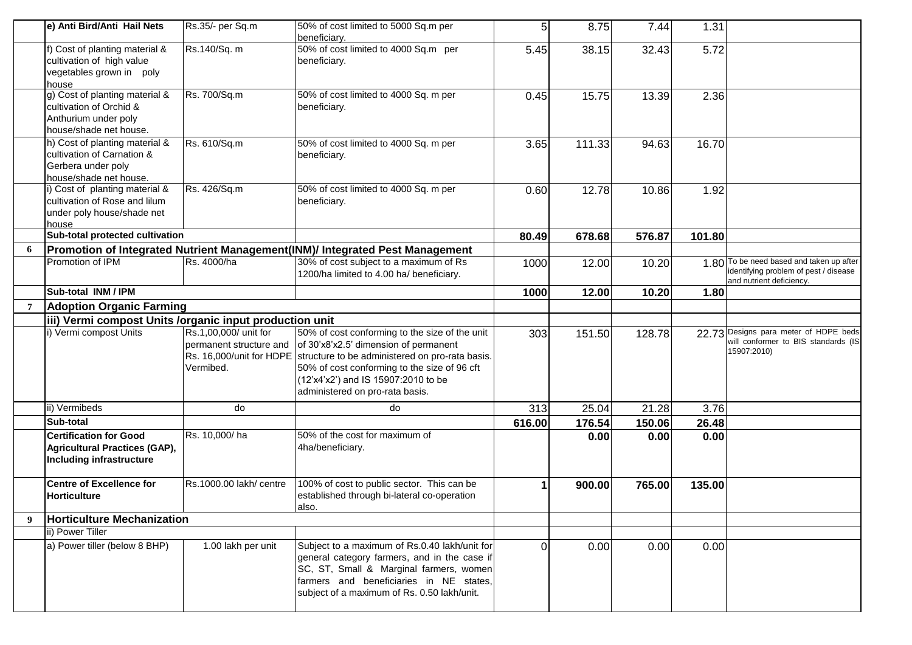|    | e) Anti Bird/Anti Hail Nets                                                                                  | Rs.35/- per Sq.m                                              | 50% of cost limited to 5000 Sq.m per<br>beneficiary.                                                                                                                                                                                                                                          | 5      | 8.75   | 7.44   | 1.31   |                                                                                                               |
|----|--------------------------------------------------------------------------------------------------------------|---------------------------------------------------------------|-----------------------------------------------------------------------------------------------------------------------------------------------------------------------------------------------------------------------------------------------------------------------------------------------|--------|--------|--------|--------|---------------------------------------------------------------------------------------------------------------|
|    | f) Cost of planting material &<br>cultivation of high value<br>vegetables grown in poly<br>house             | Rs.140/Sq. m                                                  | 50% of cost limited to 4000 Sq.m per<br>beneficiary.                                                                                                                                                                                                                                          | 5.45   | 38.15  | 32.43  | 5.72   |                                                                                                               |
|    | g) Cost of planting material &<br>cultivation of Orchid &<br>Anthurium under poly<br>house/shade net house.  | Rs. 700/Sq.m                                                  | 50% of cost limited to 4000 Sq. m per<br>beneficiary.                                                                                                                                                                                                                                         | 0.45   | 15.75  | 13.39  | 2.36   |                                                                                                               |
|    | h) Cost of planting material &<br>cultivation of Carnation &<br>Gerbera under poly<br>house/shade net house. | Rs. 610/Sq.m                                                  | 50% of cost limited to 4000 Sq. m per<br>beneficiary.                                                                                                                                                                                                                                         | 3.65   | 111.33 | 94.63  | 16.70  |                                                                                                               |
|    | i) Cost of planting material &<br>cultivation of Rose and lilum<br>under poly house/shade net<br>house       | Rs. 426/Sq.m                                                  | 50% of cost limited to 4000 Sq. m per<br>beneficiary.                                                                                                                                                                                                                                         | 0.60   | 12.78  | 10.86  | 1.92   |                                                                                                               |
|    | Sub-total protected cultivation                                                                              |                                                               |                                                                                                                                                                                                                                                                                               | 80.49  | 678.68 | 576.87 | 101.80 |                                                                                                               |
| 6  |                                                                                                              |                                                               | Promotion of Integrated Nutrient Management(INM)/ Integrated Pest Management                                                                                                                                                                                                                  |        |        |        |        |                                                                                                               |
|    | Promotion of IPM                                                                                             | Rs. 4000/ha                                                   | 30% of cost subject to a maximum of Rs<br>1200/ha limited to 4.00 ha/ beneficiary.                                                                                                                                                                                                            | 1000   | 12.00  | 10.20  |        | 1.80 To be need based and taken up after<br>identifying problem of pest / disease<br>and nutrient deficiency. |
|    | Sub-total INM / IPM                                                                                          |                                                               |                                                                                                                                                                                                                                                                                               | 1000   | 12.00  | 10.20  | 1.80   |                                                                                                               |
| -7 | <b>Adoption Organic Farming</b>                                                                              |                                                               |                                                                                                                                                                                                                                                                                               |        |        |        |        |                                                                                                               |
|    | iii) Vermi compost Units /organic input production unit                                                      |                                                               |                                                                                                                                                                                                                                                                                               |        |        |        |        |                                                                                                               |
|    | i) Vermi compost Units                                                                                       | Rs.1,00,000/ unit for<br>permanent structure and<br>Vermibed. | 50% of cost conforming to the size of the unit<br>of 30'x8'x2.5' dimension of permanent<br>Rs. 16,000/unit for HDPE structure to be administered on pro-rata basis.<br>50% of cost conforming to the size of 96 cft<br>(12'x4'x2') and IS 15907:2010 to be<br>administered on pro-rata basis. | 303    | 151.50 | 128.78 |        | 22.73 Designs para meter of HDPE beds<br>will conformer to BIS standards (IS<br>15907:2010)                   |
|    | ii) Vermibeds                                                                                                | do                                                            | do                                                                                                                                                                                                                                                                                            | 313    | 25.04  | 21.28  | 3.76   |                                                                                                               |
|    | Sub-total                                                                                                    |                                                               |                                                                                                                                                                                                                                                                                               | 616.00 | 176.54 | 150.06 | 26.48  |                                                                                                               |
|    | <b>Certification for Good</b><br>Agricultural Practices (GAP),<br>Including infrastructure                   | Rs. 10,000/ha                                                 | 50% of the cost for maximum of<br>4ha/beneficiary.                                                                                                                                                                                                                                            |        | 0.00   | 0.00   | 0.00   |                                                                                                               |
|    | <b>Centre of Excellence for</b><br><b>Horticulture</b>                                                       | Rs.1000.00 lakh/ centre                                       | 100% of cost to public sector. This can be<br>established through bi-lateral co-operation<br>also.                                                                                                                                                                                            | 1      | 900.00 | 765.00 | 135.00 |                                                                                                               |
| 9  | <b>Horticulture Mechanization</b>                                                                            |                                                               |                                                                                                                                                                                                                                                                                               |        |        |        |        |                                                                                                               |
|    | ii) Power Tiller                                                                                             |                                                               |                                                                                                                                                                                                                                                                                               |        |        |        |        |                                                                                                               |
|    | a) Power tiller (below 8 BHP)                                                                                | 1.00 lakh per unit                                            | Subject to a maximum of Rs.0.40 lakh/unit for<br>general category farmers, and in the case if<br>SC, ST, Small & Marginal farmers, women<br>farmers and beneficiaries in NE states,<br>subject of a maximum of Rs. 0.50 lakh/unit.                                                            | 0      | 0.00   | 0.00   | 0.00   |                                                                                                               |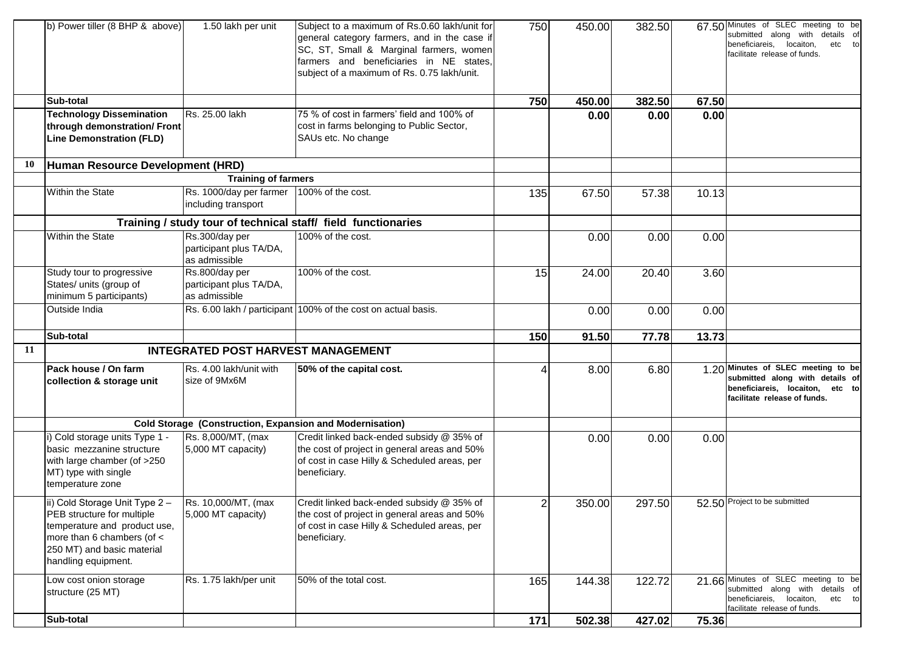|    | b) Power tiller (8 BHP & above)                                                                                                                                                 | 1.50 lakh per unit                                         | Subject to a maximum of Rs.0.60 lakh/unit for<br>general category farmers, and in the case if<br>SC, ST, Small & Marginal farmers, women<br>farmers and beneficiaries in NE states,<br>subject of a maximum of Rs. 0.75 lakh/unit. | 750            | 450.00 | 382.50 |       | 67.50 Minutes of SLEC meeting to be<br>submitted along with details of<br>beneficiareis, locaiton,<br>etc to<br>facilitate release of funds. |
|----|---------------------------------------------------------------------------------------------------------------------------------------------------------------------------------|------------------------------------------------------------|------------------------------------------------------------------------------------------------------------------------------------------------------------------------------------------------------------------------------------|----------------|--------|--------|-------|----------------------------------------------------------------------------------------------------------------------------------------------|
|    | Sub-total                                                                                                                                                                       |                                                            |                                                                                                                                                                                                                                    | 750            | 450.00 | 382.50 | 67.50 |                                                                                                                                              |
|    | <b>Technology Dissemination</b>                                                                                                                                                 | Rs. 25.00 lakh                                             | 75 % of cost in farmers' field and 100% of                                                                                                                                                                                         |                | 0.00   | 0.00   | 0.00  |                                                                                                                                              |
|    | through demonstration/ Front<br><b>Line Demonstration (FLD)</b>                                                                                                                 |                                                            | cost in farms belonging to Public Sector,<br>SAUs etc. No change                                                                                                                                                                   |                |        |        |       |                                                                                                                                              |
| 10 | Human Resource Development (HRD)                                                                                                                                                |                                                            |                                                                                                                                                                                                                                    |                |        |        |       |                                                                                                                                              |
|    |                                                                                                                                                                                 | <b>Training of farmers</b>                                 |                                                                                                                                                                                                                                    |                |        |        |       |                                                                                                                                              |
|    | Within the State                                                                                                                                                                | Rs. 1000/day per farmer<br>including transport             | 100% of the cost.                                                                                                                                                                                                                  | 135            | 67.50  | 57.38  | 10.13 |                                                                                                                                              |
|    |                                                                                                                                                                                 |                                                            | Training / study tour of technical staff/ field functionaries                                                                                                                                                                      |                |        |        |       |                                                                                                                                              |
|    | <b>Within the State</b>                                                                                                                                                         | Rs.300/day per<br>participant plus TA/DA,<br>as admissible | 100% of the cost.                                                                                                                                                                                                                  |                | 0.00   | 0.00   | 0.00  |                                                                                                                                              |
|    | Study tour to progressive<br>States/ units (group of<br>minimum 5 participants)                                                                                                 | Rs.800/day per<br>participant plus TA/DA,<br>as admissible | 100% of the cost.                                                                                                                                                                                                                  | 15             | 24.00  | 20.40  | 3.60  |                                                                                                                                              |
|    | Outside India                                                                                                                                                                   |                                                            | Rs. 6.00 lakh / participant 100% of the cost on actual basis.                                                                                                                                                                      |                | 0.00   | 0.00   | 0.00  |                                                                                                                                              |
|    | Sub-total                                                                                                                                                                       |                                                            |                                                                                                                                                                                                                                    | 150            | 91.50  | 77.78  | 13.73 |                                                                                                                                              |
| 11 |                                                                                                                                                                                 | <b>INTEGRATED POST HARVEST MANAGEMENT</b>                  |                                                                                                                                                                                                                                    |                |        |        |       |                                                                                                                                              |
|    | Pack house / On farm<br>collection & storage unit                                                                                                                               | Rs. 4.00 lakh/unit with<br>size of 9Mx6M                   | 50% of the capital cost.                                                                                                                                                                                                           | 4              | 8.00   | 6.80   |       | 1.20 Minutes of SLEC meeting to be<br>submitted along with details of<br>beneficiareis, locaiton, etc to<br>facilitate release of funds.     |
|    |                                                                                                                                                                                 |                                                            | <b>Cold Storage (Construction, Expansion and Modernisation)</b>                                                                                                                                                                    |                |        |        |       |                                                                                                                                              |
|    | i) Cold storage units Type 1 -<br>basic mezzanine structure<br>with large chamber (of >250<br>MT) type with single<br>temperature zone                                          | Rs. 8,000/MT, (max<br>5,000 MT capacity)                   | Credit linked back-ended subsidy @ 35% of<br>the cost of project in general areas and 50%<br>of cost in case Hilly & Scheduled areas, per<br>beneficiary.                                                                          |                | 0.00   | 0.00   | 0.00  |                                                                                                                                              |
|    | ii) Cold Storage Unit Type 2 -<br>PEB structure for multiple<br>temperature and product use,<br>more than 6 chambers (of <<br>250 MT) and basic material<br>handling equipment. | Rs. 10,000/MT, (max<br>5,000 MT capacity)                  | Credit linked back-ended subsidy @ 35% of<br>the cost of project in general areas and 50%<br>of cost in case Hilly & Scheduled areas, per<br>beneficiary.                                                                          | $\mathfrak{p}$ | 350.00 | 297.50 |       | 52.50 Project to be submitted                                                                                                                |
|    | Low cost onion storage<br>structure (25 MT)                                                                                                                                     | Rs. 1.75 lakh/per unit                                     | 50% of the total cost.                                                                                                                                                                                                             | 165            | 144.38 | 122.72 |       | 21.66 Minutes of SLEC meeting to be<br>submitted along with details of<br>beneficiareis, locaiton,<br>etc to<br>facilitate release of funds. |
|    | Sub-total                                                                                                                                                                       |                                                            |                                                                                                                                                                                                                                    | 171            | 502.38 | 427.02 | 75.36 |                                                                                                                                              |